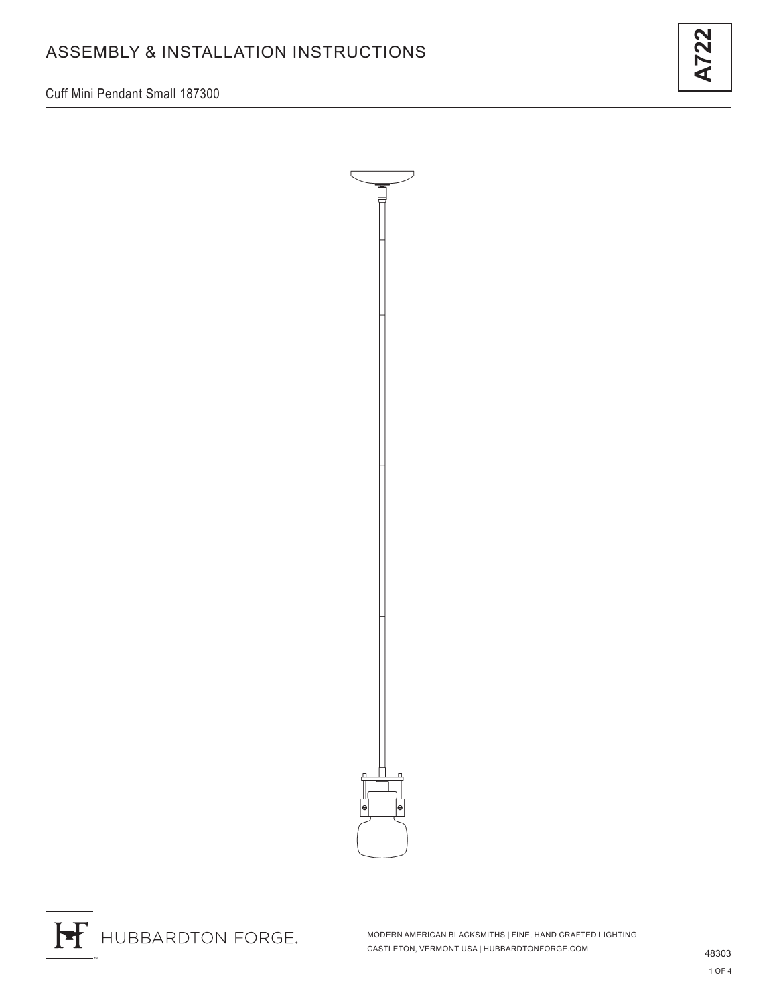Cuff Mini Pendant Small 187300





H HUBBARDTON FORGE.

MODERN AMERICAN BLACKSMITHS | FINE, HAND CRAFTED LIGHTING CASTLETON, VERMONT USA | HUBBARDTONFORGE.COM 48303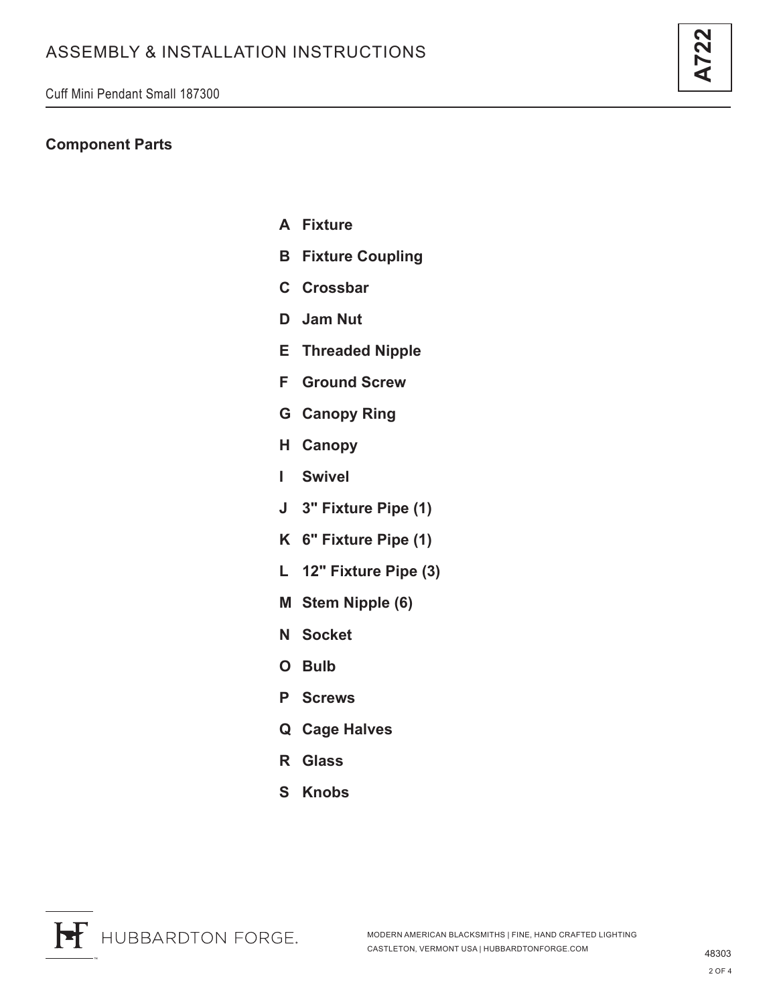### **Component Parts**

- **A Fixture**
- **B Fixture Coupling**
- **C Crossbar**
- **D Jam Nut**
- **E Threaded Nipple**
- **F Ground Screw**
- **G Canopy Ring**
- **H Canopy**
- **I Swivel**
- **J 3" Fixture Pipe (1)**
- **K 6" Fixture Pipe (1)**
- **L 12" Fixture Pipe (3)**
- **M Stem Nipple (6)**
- **N Socket**
- **O Bulb**
- **P Screws**
- **Q Cage Halves**
- **R Glass**
- **S Knobs**

**A722**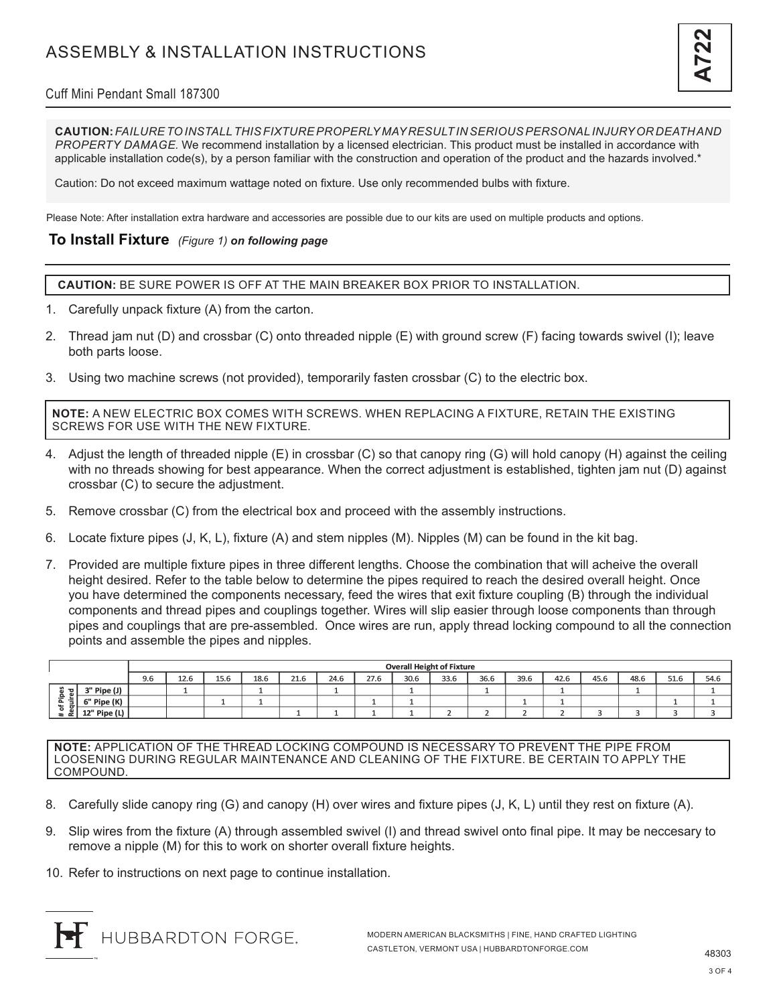

## Cuff Mini Pendant Small 187300

**CAUTION:** *FAILURE TO INSTALL THIS FIXTURE PROPERLY MAY RESULT IN SERIOUS PERSONAL INJURY OR DEATH AND PROPERTY DAMAGE.* We recommend installation by a licensed electrician. This product must be installed in accordance with applicable installation code(s), by a person familiar with the construction and operation of the product and the hazards involved.\*

Caution: Do not exceed maximum wattage noted on fixture. Use only recommended bulbs with fixture.

Please Note: After installation extra hardware and accessories are possible due to our kits are used on multiple products and options.

#### **To Install Fixture** *(Figure 1) on following page*

**CAUTION:** BE SURE POWER IS OFF AT THE MAIN BREAKER BOX PRIOR TO INSTALLATION.

- 1. Carefully unpack fixture (A) from the carton.
- 2. Thread jam nut (D) and crossbar (C) onto threaded nipple (E) with ground screw (F) facing towards swivel (I); leave both parts loose.
- 3. Using two machine screws (not provided), temporarily fasten crossbar (C) to the electric box.

**NOTE:** A NEW ELECTRIC BOX COMES WITH SCREWS. WHEN REPLACING A FIXTURE, RETAIN THE EXISTING SCREWS FOR USE WITH THE NEW FIXTURE.

- 4. Adjust the length of threaded nipple (E) in crossbar (C) so that canopy ring (G) will hold canopy (H) against the ceiling with no threads showing for best appearance. When the correct adjustment is established, tighten jam nut (D) against crossbar (C) to secure the adjustment.
- 5. Remove crossbar (C) from the electrical box and proceed with the assembly instructions.
- 6. Locate fixture pipes (J, K, L), fixture (A) and stem nipples (M). Nipples (M) can be found in the kit bag.
- 7. Provided are multiple fixture pipes in three different lengths. Choose the combination that will acheive the overall height desired. Refer to the table below to determine the pipes required to reach the desired overall height. Once you have determined the components necessary, feed the wires that exit fixture coupling (B) through the individual components and thread pipes and couplings together. Wires will slip easier through loose components than through pipes and couplings that are pre-assembled. Once wires are run, apply thread locking compound to all the connection points and assemble the pipes and nipples.

|                                                                 |              | <b>Overall Height of Fixture</b> |      |      |      |      |      |      |      |      |      |      |      |      |      |      |      |
|-----------------------------------------------------------------|--------------|----------------------------------|------|------|------|------|------|------|------|------|------|------|------|------|------|------|------|
|                                                                 |              | 9.6                              | 12.6 | 15.6 | 18.6 | 21.6 | 24.6 | 27.6 | 30.6 | 33.6 | 36.6 | 39.6 | 42.6 | 45.6 | 48.6 | 51.6 | 54.6 |
| <del>. ฉ</del> เ<br>은.<br>--<br>⊶<br>۰<br>ے<br>$\pm$ $\alpha$ , | ' Pipe (J)   |                                  |      |      |      |      |      |      |      |      |      |      |      |      |      |      |      |
|                                                                 | 6" Pipe (K)  |                                  |      |      |      |      |      |      |      |      |      |      |      |      |      |      |      |
|                                                                 | 12" Pipe (L) |                                  |      |      |      |      |      |      |      |      |      |      |      |      |      |      |      |

**NOTE:** APPLICATION OF THE THREAD LOCKING COMPOUND IS NECESSARY TO PREVENT THE PIPE FROM LOOSENING DURING REGULAR MAINTENANCE AND CLEANING OF THE FIXTURE. BE CERTAIN TO APPLY THE COMPOUND.

- 8. Carefully slide canopy ring (G) and canopy (H) over wires and fixture pipes (J, K, L) until they rest on fixture (A).
- 9. Slip wires from the fixture (A) through assembled swivel (I) and thread swivel onto final pipe. It may be neccesary to remove a nipple (M) for this to work on shorter overall fixture heights.
- 10. Refer to instructions on next page to continue installation.